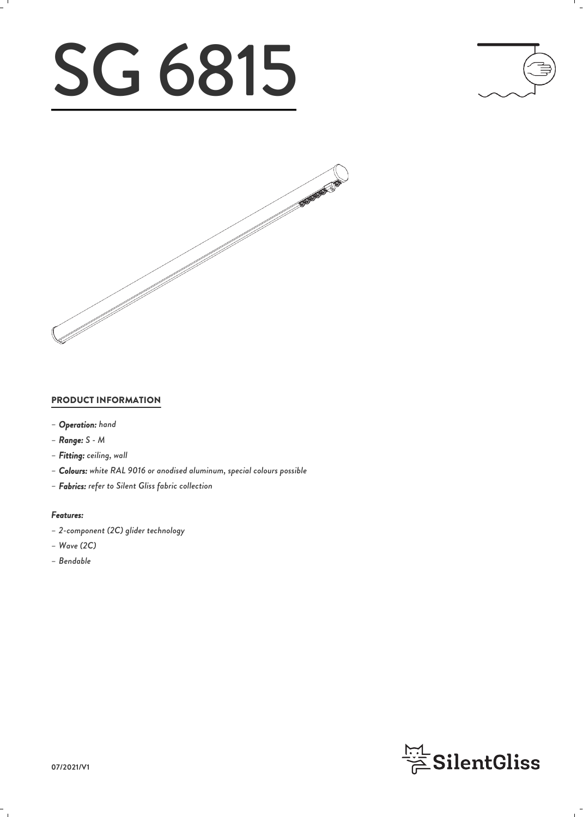# SG 6815





### PRODUCT INFORMATION

- *– Operation: hand*
- *– Range: S M*
- *– Fitting: ceiling, wall*
- *– Colours: white RAL 9016 or anodised aluminum, special colours possible*
- *– Fabrics: refer to Silent Gliss fabric collection*

#### *Features:*

- *– 2-component (2C) glider technology*
- *– Wave (2C)*
- *– Bendable*

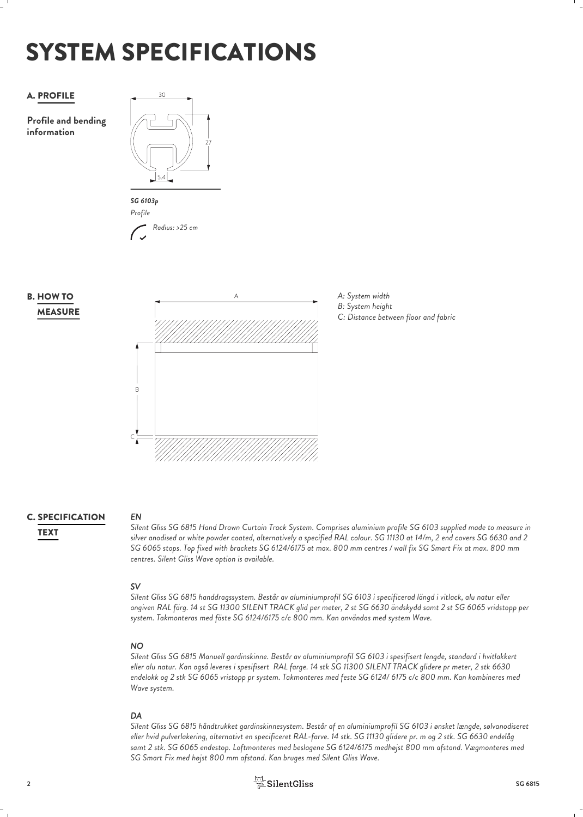## SYSTEM SPECIFICATIONS

### A. PROFILE 30

**Profile and bending information**





### **MEASURE B. HOW TO**





### **C. SPECIFICATION** EN

*EN Silent Gliss SG 6815 Hand Drawn Curtain Track System. Comprises aluminium profile SG 6103 supplied made to measure in silver anodised or white powder coated, alternatively a specified RAL colour. SG 11130 at 14/m, 2 end covers SG 6630 and 2* TEXT *SG 6065 stops. Top fixed with brackets SG 6124/6175 at max. 800 mm centres / wall fix SG Smart Fix at max. 800 mm centres. Silent Gliss Wave option is available.*

### *SV*

*Silent Gliss SG 6815 handdragssystem. Består av aluminiumprofil SG 6103 i specificerad längd i vitlack, alu natur eller angiven RAL färg. 14 st SG 11300 SILENT TRACK glid per meter, 2 st SG 6630 ändskydd samt 2 st SG 6065 vridstopp per system. Takmonteras med fäste SG 6124/6175 c/c 800 mm. Kan användas med system Wave.*

### *NO*

*Silent Gliss SG 6815 Manuell gardinskinne. Består av aluminiumprofil SG 6103 i spesifisert lengde, standard i hvitlakkert eller alu natur. Kan også leveres i spesifisert RAL farge. 14 stk SG 11300 SILENT TRACK glidere pr meter, 2 stk 6630 endelokk og 2 stk SG 6065 vristopp pr system. Takmonteres med feste SG 6124/ 6175 c/c 800 mm. Kan kombineres med Wave system.*

*DA Silent Gliss SG 6815 håndtrukket gardinskinnesystem. Består af en aluminiumprofil SG 6103 i ønsket længde, sølvanodiseret eller hvid pulverlakering, alternativt en specificeret RAL-farve. 14 stk. SG 11130 glidere pr. m og 2 stk. SG 6630 endelåg samt 2 stk. SG 6065 endestop. Loftmonteres med beslagene SG 6124/6175 medhøjst 800 mm afstand. Vægmonteres med SG Smart Fix med højst 800 mm afstand. Kan bruges med Silent Gliss Wave.*

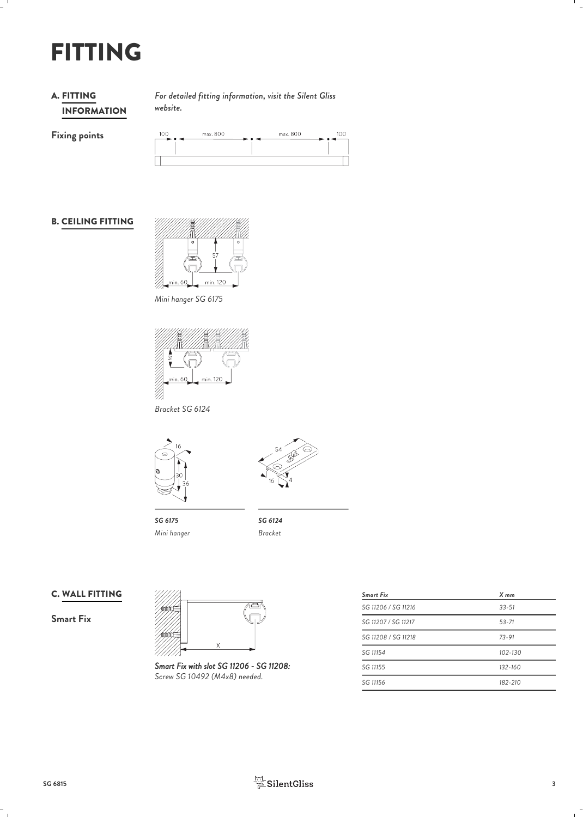### FITTING

### INFORMATION **A. FITTING**

*For detailed fitting information, visit the Silent Gliss* FITTING *website.*

**Fixing points**

| 100 | max. 800 |     | max. 800 | 100 |
|-----|----------|-----|----------|-----|
| --  |          | . . |          |     |
|     |          |     |          |     |
|     |          |     |          |     |

### **B. CEILING FITTING**



*Mini hanger SG 6175*



*Bracket SG 6124*





*SG 6175 SG 6124 Mini hanger*

*Bracket*

### C. WALL FITTING

**Smart Fix**



*Smart Fix with slot SG 11206 - SG 11208: Screw SG 10492 (M4x8) needed.*

| <b>Smart Fix</b>    | $X$ mm      |
|---------------------|-------------|
| SG 11206 / SG 11216 | $33 - 51$   |
| SG 11207 / SG 11217 | $53 - 71$   |
| SG 11208 / SG 11218 | $73 - 91$   |
| SG 11154            | $102 - 130$ |
| SG 11155            | $132 - 160$ |
| SG 11156            | 182-210     |

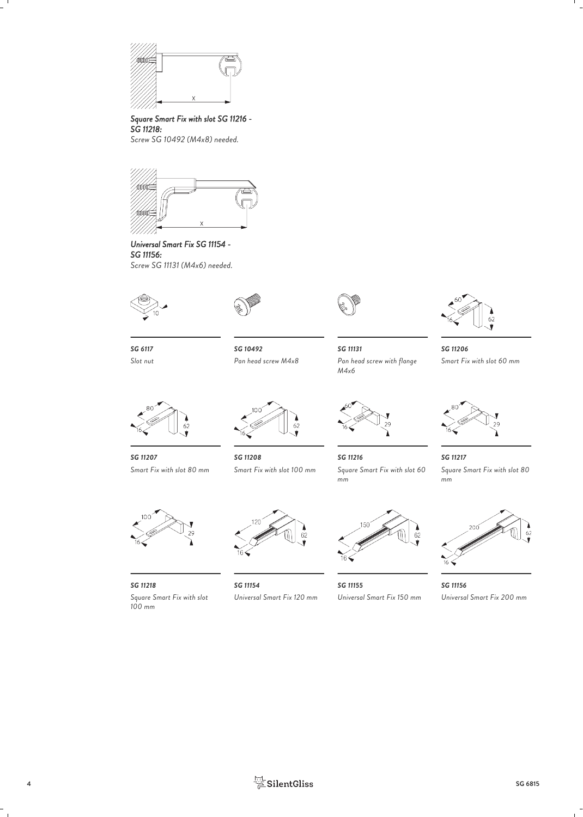

### *Square Smart Fix with slot SG 11216 - SG 11218:*

*Screw SG 10492 (M4x8) needed.*



*Universal Smart Fix SG 11154 - SG 11156: Screw SG 11131 (M4x6) needed.*







*Slot nut*

*SG 6117 SG 10492 SG 11131*

*M4x6*



*Pan head screw M4x8 Pan head screw with flange SG 11206 Smart Fix with slot 60 mm*



*SG 11207 Smart Fix with slot 80 mm*





*SG 11208* Square Smart Fix with slot 60 *SG 11216 SG 11217 Square Smart Fix with slot 60 Square Smart Fix with slot 80*



*SG 11218 100 mm*



*Square Smart Fix with slot*



*SG 11154 Universal Smart Fix 120 mm Universal Smart Fix 150 mm Universal Smart Fix 200 mm*



*SG 11155 SG 11156*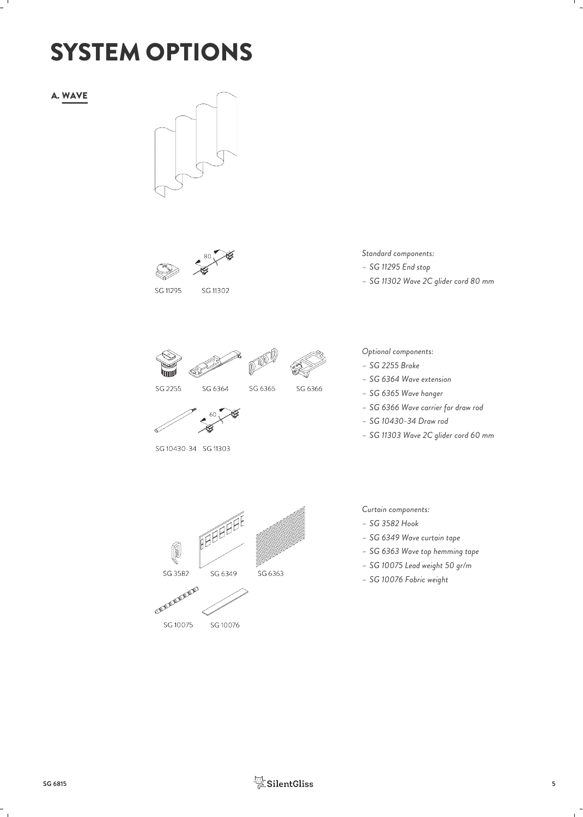### SYSTEM OPTIONS

A. WAVE



SG 11295 SG 11302

*Standard components:*

- *– SG 11295 End stop*
- *– SG 11302 Wave 2C glider cord 80 mm*







SG 2255





SG 6364

SG 10430-34 SG 11303

*Optional components:*

- *– SG 2255 Brake*
- *– SG 6364 Wave extension*
- *– SG 6365 Wave hanger*
- *– SG 6366 Wave carrier for draw rod*
- *– SG 10430-34 Draw rod*
- *– SG 11303 Wave 2C glider cord 60 mm*



SG 10076

SG 10075

- *Curtain components:*
- *– SG 3582 Hook*
- *– SG 6349 Wave curtain tape*
- *– SG 6363 Wave top hemming tape*
- *– SG 10075 Lead weight 50 gr/m*
- *– SG 10076 Fabric weight*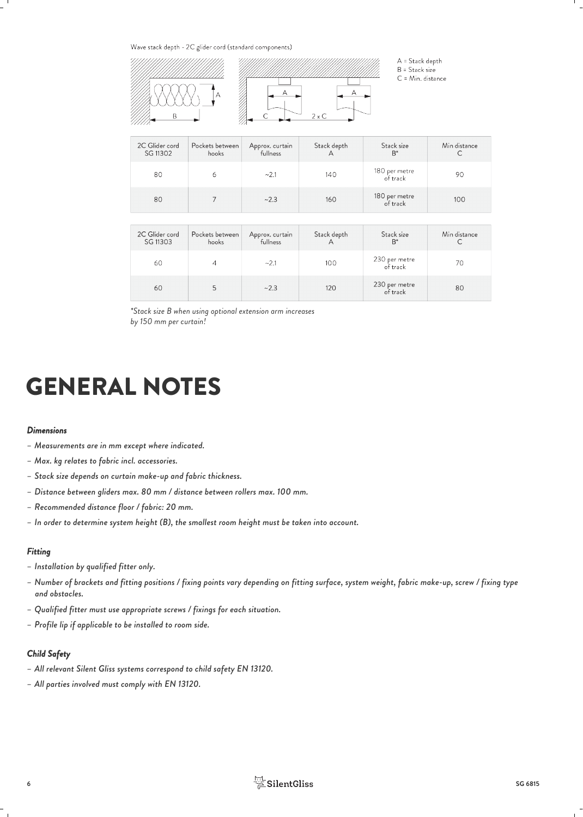Wave stack depth - 2C glider cord (standard components)



A = Stack depth  $B =$  Stack size

C = Min. distance

| 2C Glider cord<br>SG 11302 | Pockets between<br>hooks | Approx. curtain<br>fullness | Stack depth | Stack size<br>$B^*$       | Min distance |
|----------------------------|--------------------------|-----------------------------|-------------|---------------------------|--------------|
| 80                         | 6                        | ~2.1                        | 140         | 180 per metre<br>of track | 90           |
| 80                         |                          | ~2.3                        | 160         | 180 per metre<br>of track | 100          |

| 2C Glider cord<br>SG 11303 | Pockets between<br>hooks | Approx. curtain<br>fullness | Stack depth | Stack size<br>$B^*$       | Min distance |
|----------------------------|--------------------------|-----------------------------|-------------|---------------------------|--------------|
| 60                         |                          | ~2.1                        | 100         | 230 per metre<br>of track | 70           |
| 60                         |                          | ~2.3                        | 120         | 230 per metre<br>of track | 80           |

*\*Stack size B when using optional extension arm increases by 150 mm per curtain!*

### GENERAL NOTES

#### *Dimensions*

- *– Measurements are in mm except where indicated.*
- *– Max. kg relates to fabric incl. accessories.*
- *– Stack size depends on curtain make-up and fabric thickness.*
- *– Distance between gliders max. 80 mm / distance between rollers max. 100 mm.*
- *– Recommended distance floor / fabric: 20 mm.*
- *– In order to determine system height (B), the smallest room height must be taken into account.*

#### *Fitting*

- *– Installation by qualified fitter only.*
- *– Number of brackets and fitting positions / fixing points vary depending on fitting surface, system weight, fabric make-up, screw / fixing type and obstacles.*
- *– Qualified fitter must use appropriate screws / fixings for each situation.*
- *– Profile lip if applicable to be installed to room side.*

#### *Child Safety*

- *– All relevant Silent Gliss systems correspond to child safety EN 13120.*
- *– All parties involved must comply with EN 13120.*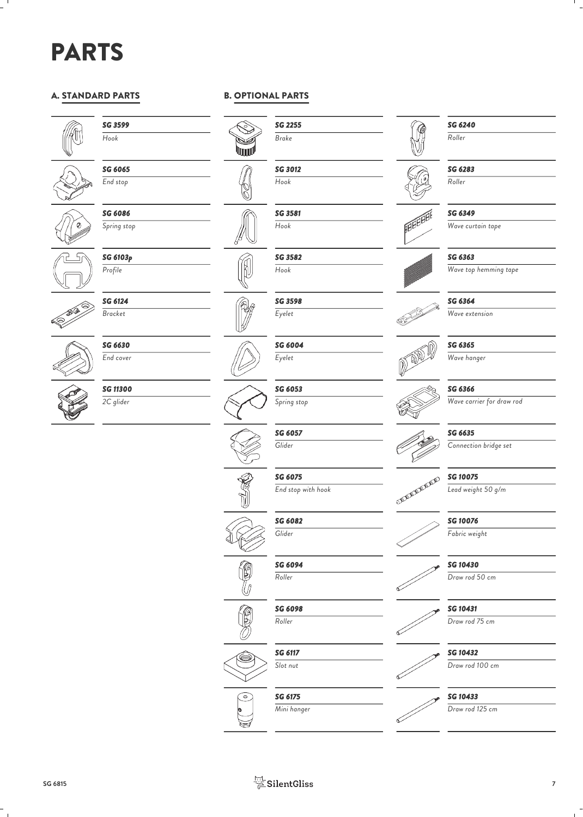### PARTS

### A. STANDARD PARTS



### *SG 3599 Hook*



*End stop*

*SG 6065*



*SG 6086 Spring stop*

**SG 6103p**<br>Profile (*R*) *Profile*



*SG 6124 Bracket*



*SG 6630 End cover*

*SG 11300 2C glider*





*SG 2255 Brake*

*SG 3012 Hook*

*SG 3581 Hook*

*SG 3582 Hook*

*SG 3598 Eyelet*

*Eyelet*

*SG 6053 Spring stop*

*SG 6057 Glider*

*SG 6082 Glider*

*SG 6094 Roller*

*SG 6098 Roller*

*SG 6117*

*End stop with hook*























⋿

*Slot nut*



*Mini hanger*





*SG 6240 Roller*



### *SG 6349*

*Wave curtain tape*

### *SG 6363*

*SG 6364*

*Wave top hemming tape*



**FEBBER** 

*Wave extension*



*SG 6365*

*Wave hanger*

### *SG 6366*

*Wave carrier for draw rod*



*SG 6635*

*Connection bridge set*

*SG 10075*

*Lead weight 50 g/m*

*SG 10076*

*Fabric weight*

*SG 10430*

*Draw rod 50 cm*



*Draw rod 75 cm*

*SG 10432*

*Draw rod 100 cm*



*SG 10433*

*Draw rod 125 cm*





*SG 6075*<br>
End stop with hook<br> **SG 6075**<br>
SM 2000